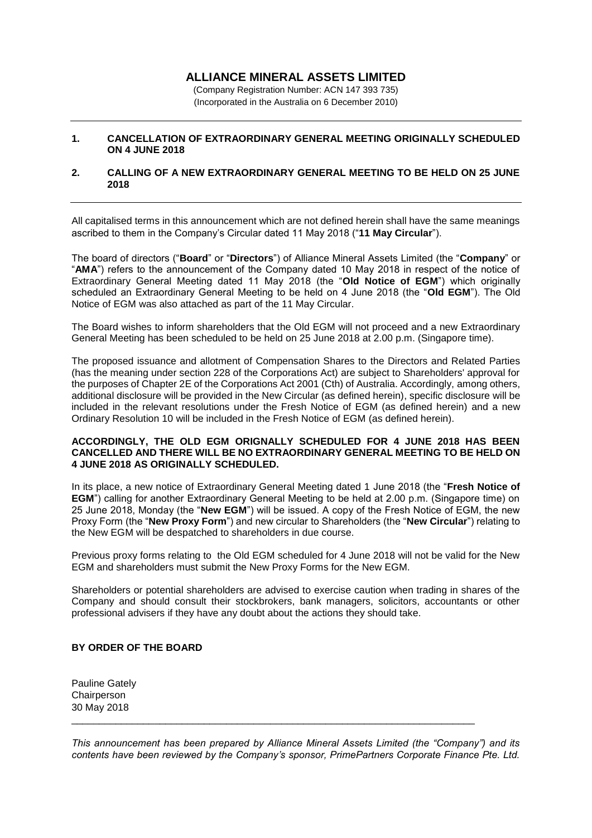# **ALLIANCE MINERAL ASSETS LIMITED**

(Company Registration Number: ACN 147 393 735) (Incorporated in the Australia on 6 December 2010)

### **1. CANCELLATION OF EXTRAORDINARY GENERAL MEETING ORIGINALLY SCHEDULED ON 4 JUNE 2018**

#### **2. CALLING OF A NEW EXTRAORDINARY GENERAL MEETING TO BE HELD ON 25 JUNE 2018**

All capitalised terms in this announcement which are not defined herein shall have the same meanings ascribed to them in the Company's Circular dated 11 May 2018 ("**11 May Circular**").

The board of directors ("**Board**" or "**Directors**") of Alliance Mineral Assets Limited (the "**Company**" or "**AMA**") refers to the announcement of the Company dated 10 May 2018 in respect of the notice of Extraordinary General Meeting dated 11 May 2018 (the "**Old Notice of EGM**") which originally scheduled an Extraordinary General Meeting to be held on 4 June 2018 (the "**Old EGM**"). The Old Notice of EGM was also attached as part of the 11 May Circular.

The Board wishes to inform shareholders that the Old EGM will not proceed and a new Extraordinary General Meeting has been scheduled to be held on 25 June 2018 at 2.00 p.m. (Singapore time).

The proposed issuance and allotment of Compensation Shares to the Directors and Related Parties (has the meaning under section 228 of the Corporations Act) are subject to Shareholders' approval for the purposes of Chapter 2E of the Corporations Act 2001 (Cth) of Australia. Accordingly, among others, additional disclosure will be provided in the New Circular (as defined herein), specific disclosure will be included in the relevant resolutions under the Fresh Notice of EGM (as defined herein) and a new Ordinary Resolution 10 will be included in the Fresh Notice of EGM (as defined herein).

#### **ACCORDINGLY, THE OLD EGM ORIGNALLY SCHEDULED FOR 4 JUNE 2018 HAS BEEN CANCELLED AND THERE WILL BE NO EXTRAORDINARY GENERAL MEETING TO BE HELD ON 4 JUNE 2018 AS ORIGINALLY SCHEDULED.**

In its place, a new notice of Extraordinary General Meeting dated 1 June 2018 (the "**Fresh Notice of EGM**") calling for another Extraordinary General Meeting to be held at 2.00 p.m. (Singapore time) on 25 June 2018, Monday (the "**New EGM**") will be issued. A copy of the Fresh Notice of EGM, the new Proxy Form (the "**New Proxy Form**") and new circular to Shareholders (the "**New Circular**") relating to the New EGM will be despatched to shareholders in due course.

Previous proxy forms relating to the Old EGM scheduled for 4 June 2018 will not be valid for the New EGM and shareholders must submit the New Proxy Forms for the New EGM.

Shareholders or potential shareholders are advised to exercise caution when trading in shares of the Company and should consult their stockbrokers, bank managers, solicitors, accountants or other professional advisers if they have any doubt about the actions they should take.

## **BY ORDER OF THE BOARD**

Pauline Gately **Chairperson** 30 May 2018

*This announcement has been prepared by Alliance Mineral Assets Limited (the "Company") and its contents have been reviewed by the Company's sponsor, PrimePartners Corporate Finance Pte. Ltd.* 

 $\_$  ,  $\_$  ,  $\_$  ,  $\_$  ,  $\_$  ,  $\_$  ,  $\_$  ,  $\_$  ,  $\_$  ,  $\_$  ,  $\_$  ,  $\_$  ,  $\_$  ,  $\_$  ,  $\_$  ,  $\_$  ,  $\_$  ,  $\_$  ,  $\_$  ,  $\_$  ,  $\_$  ,  $\_$  ,  $\_$  ,  $\_$  ,  $\_$  ,  $\_$  ,  $\_$  ,  $\_$  ,  $\_$  ,  $\_$  ,  $\_$  ,  $\_$  ,  $\_$  ,  $\_$  ,  $\_$  ,  $\_$  ,  $\_$  ,